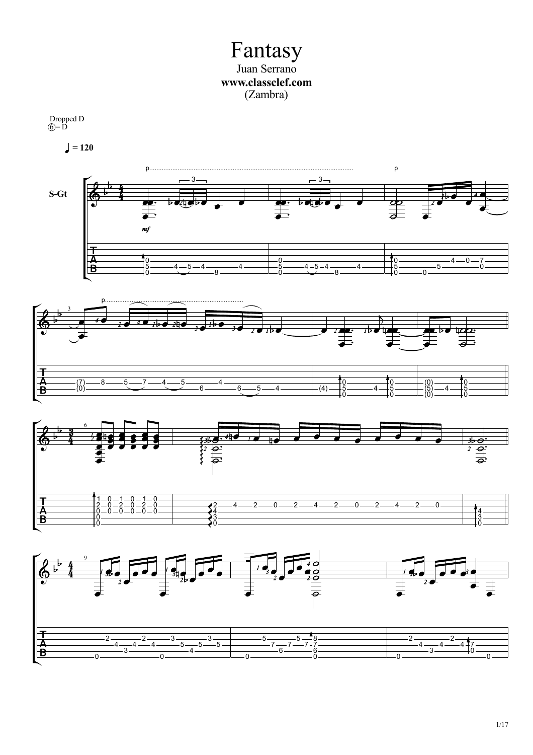## Fantasy Juan Serrano **www.classclef.com** (Zambra)

Dropped D  $\widehat{O} = \overline{D}$ 

 $= 120$ 







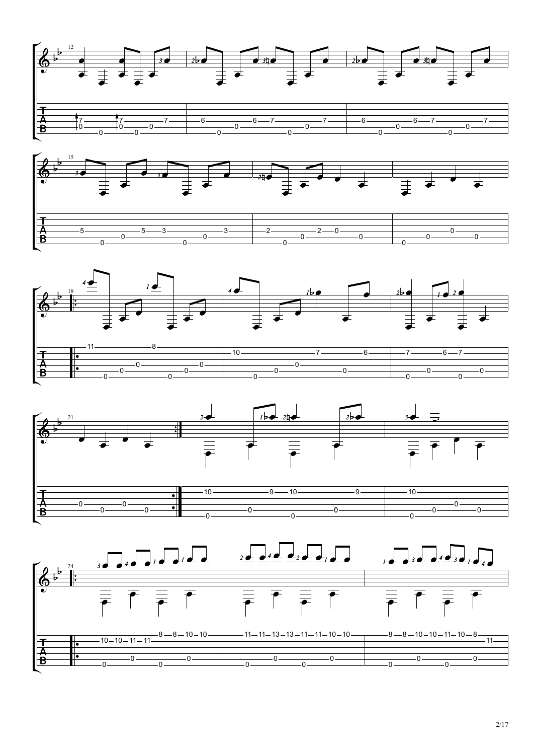







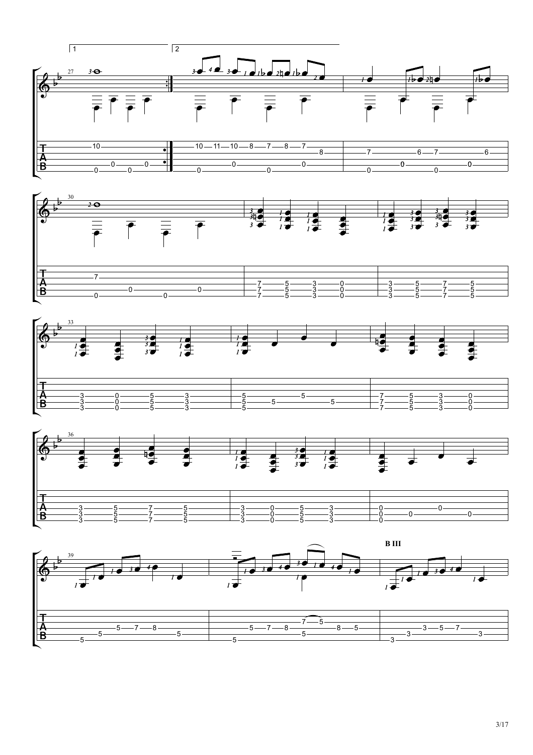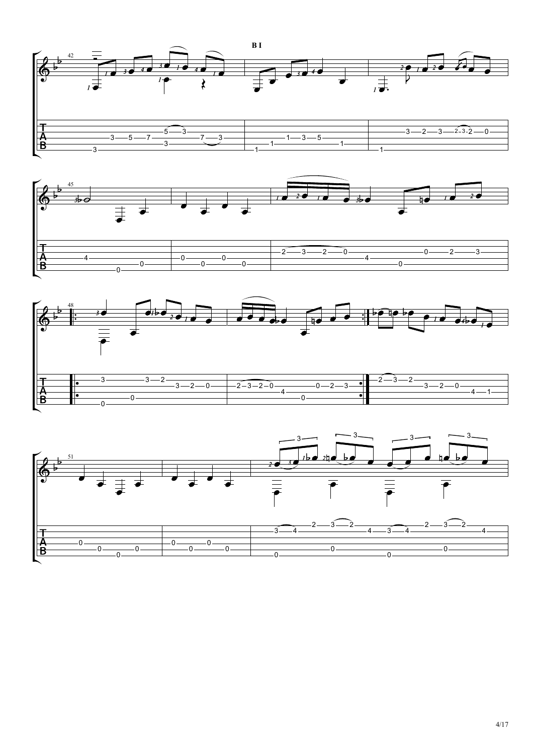





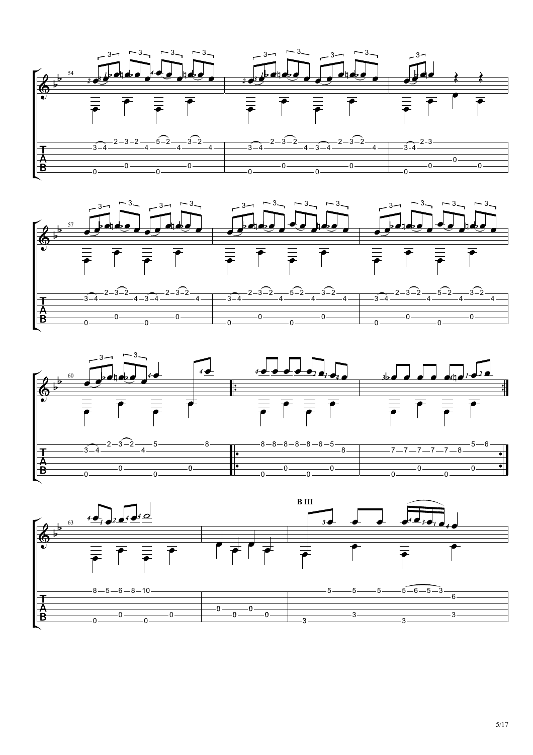





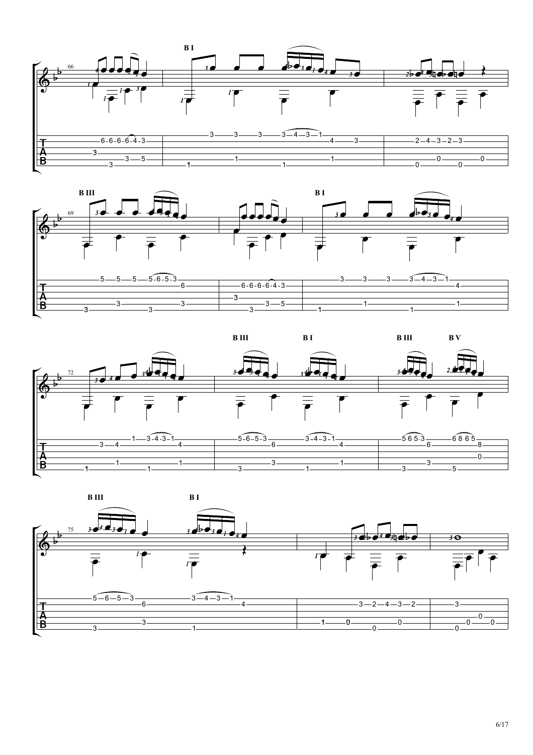





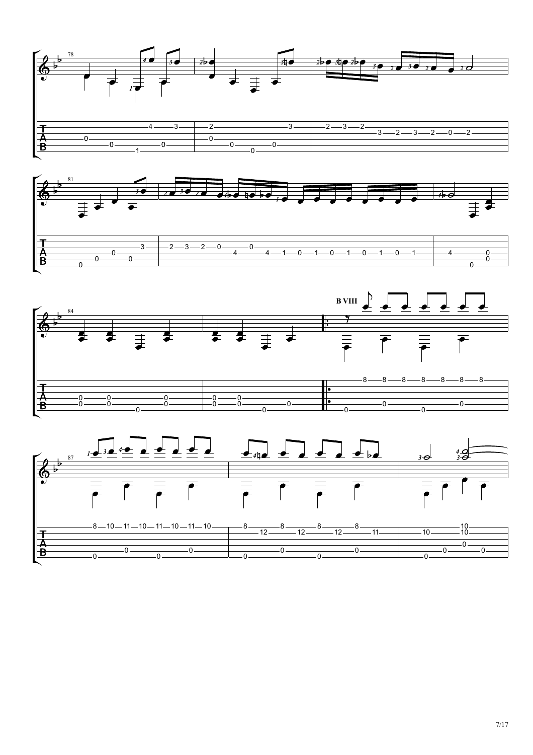





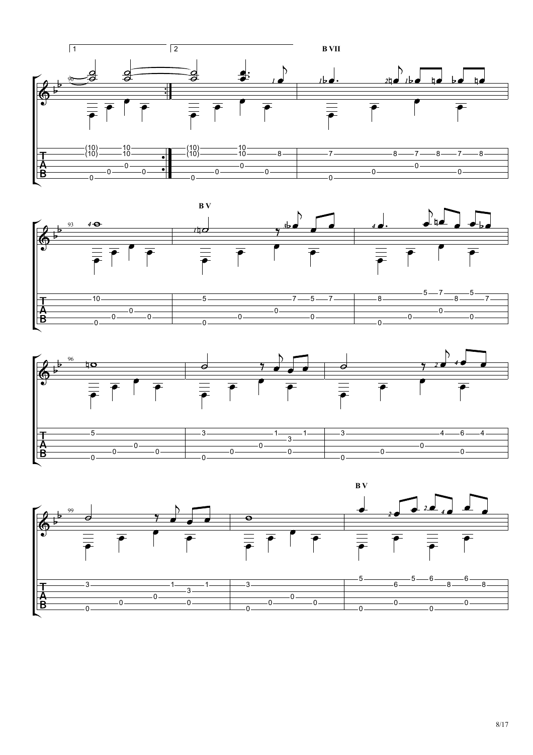





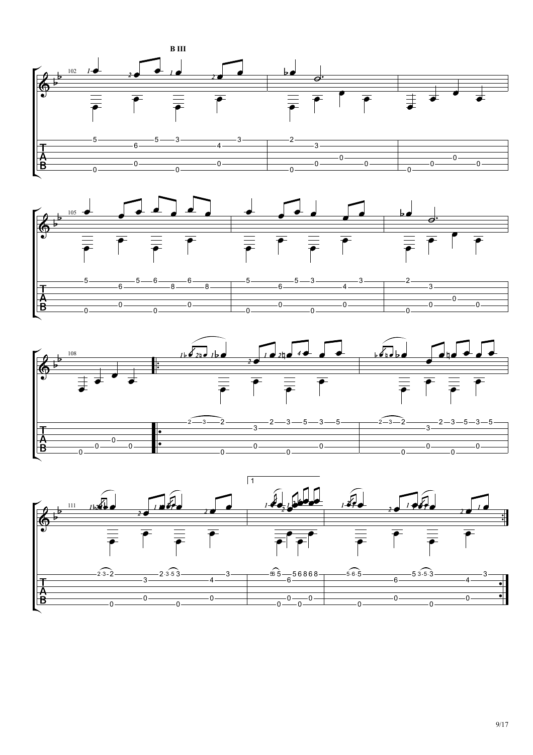





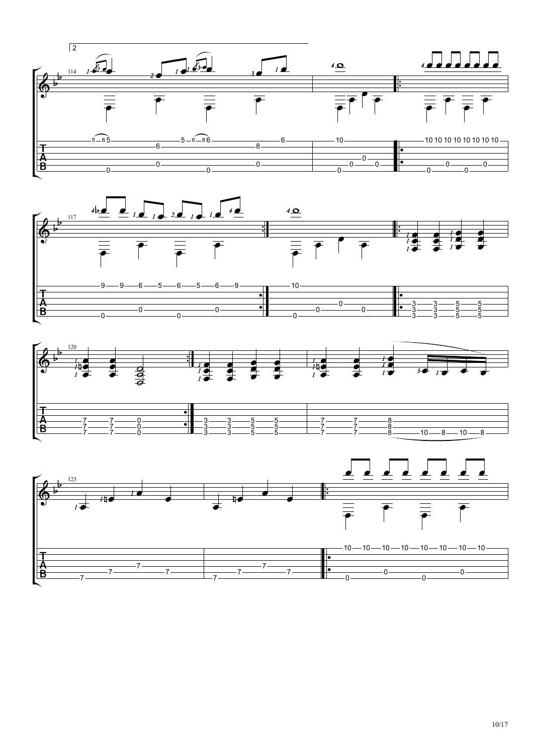





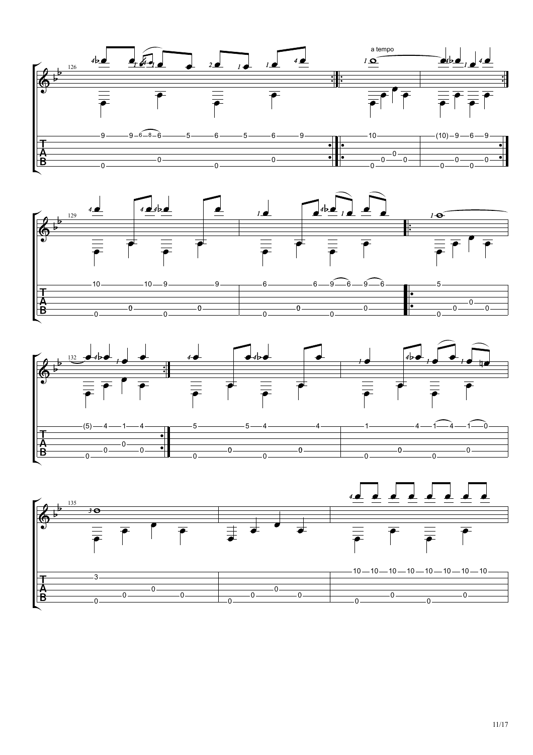





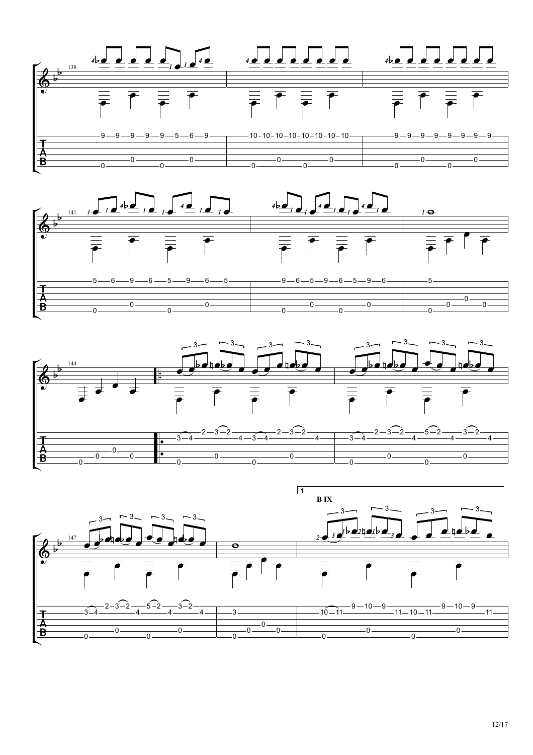





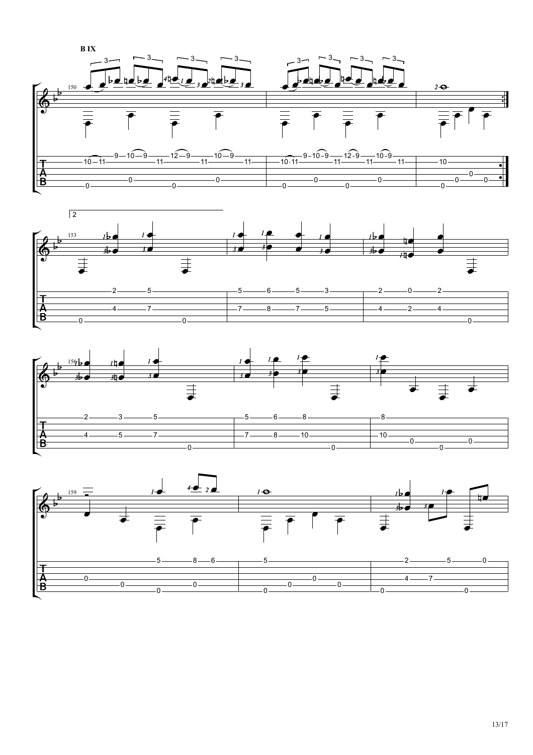





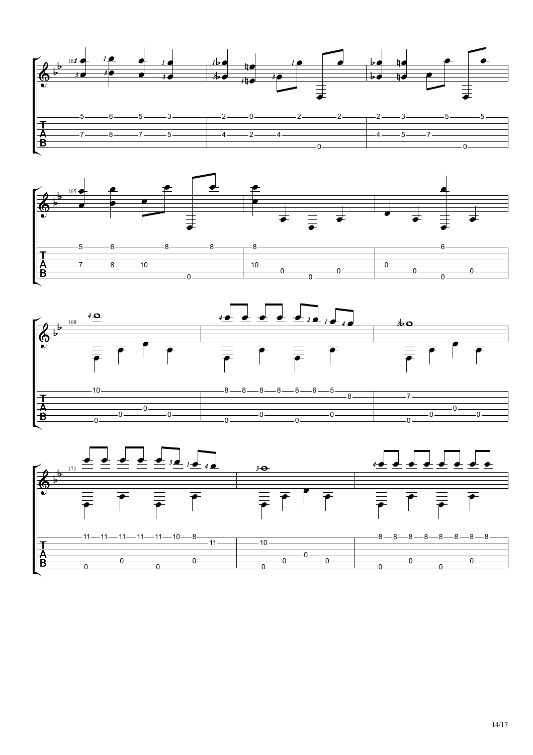





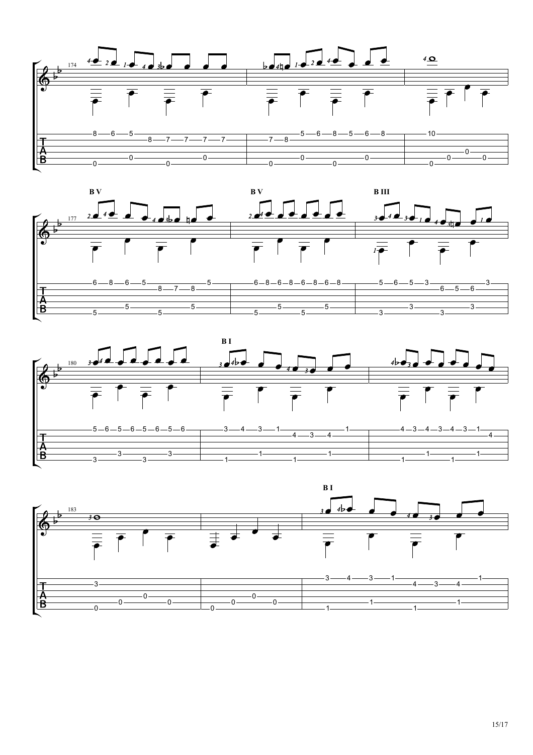





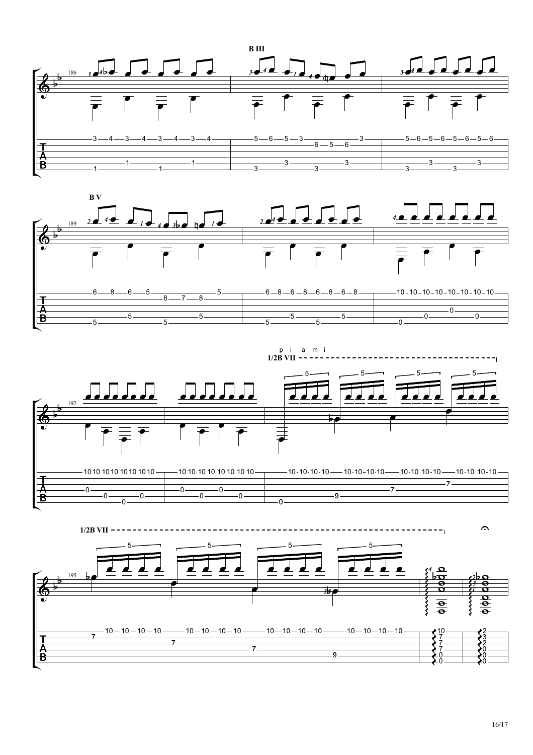